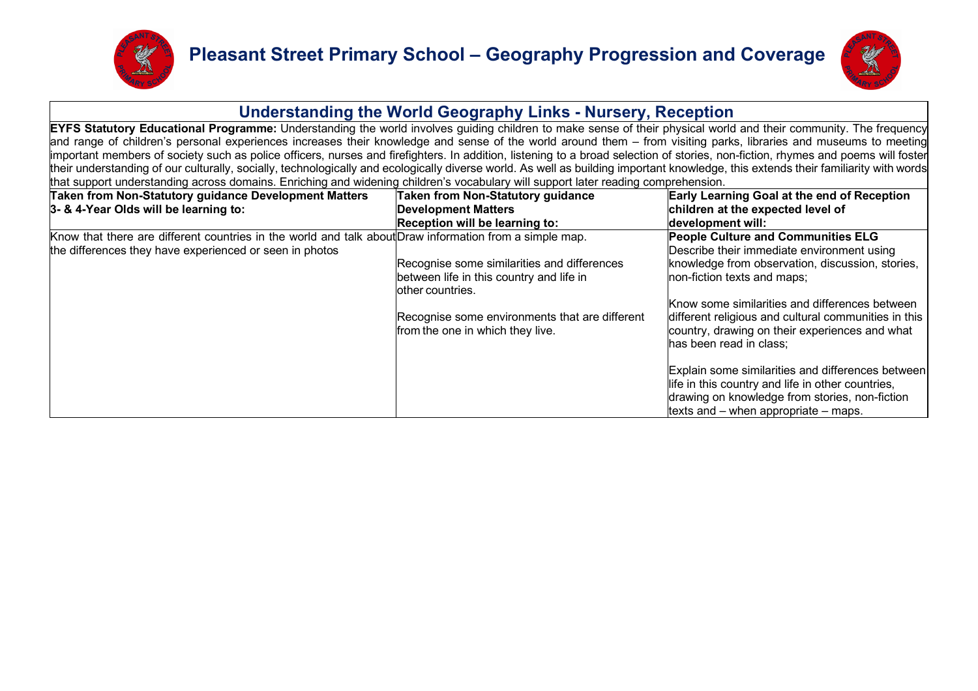



## **Understanding the World Geography Links - Nursery, Reception**

**EYFS Statutory Educational Programme:** Understanding the world involves guiding children to make sense of their physical world and their community. The frequency and range of children's personal experiences increases their knowledge and sense of the world around them – from visiting parks, libraries and museums to meeting important members of society such as police officers, nurses and firefighters. In addition, listening to a broad selection of stories, non-fiction, rhymes and poems will foster their understanding of our culturally, socially, technologically and ecologically diverse world. As well as building important knowledge, this extends their familiarity with words that support understanding across domains. Enriching and widening children's vocabulary will support later reading comprehension.

| <b>Taken from Non-Statutory guidance Development Matters</b><br>3- & 4-Year Olds will be learning to:                                                              | Taken from Non-Statutory guidance<br><b>Development Matters</b><br>Reception will be learning to:                                                                                                  | <b>Early Learning Goal at the end of Reception</b><br>children at the expected level of<br>development will:                                                                                                                                                                                                                                                      |
|--------------------------------------------------------------------------------------------------------------------------------------------------------------------|----------------------------------------------------------------------------------------------------------------------------------------------------------------------------------------------------|-------------------------------------------------------------------------------------------------------------------------------------------------------------------------------------------------------------------------------------------------------------------------------------------------------------------------------------------------------------------|
| Know that there are different countries in the world and talk about Draw information from a simple map.<br>the differences they have experienced or seen in photos | Recognise some similarities and differences<br>between life in this country and life in<br>lother countries.<br>Recognise some environments that are different<br>from the one in which they live. | <b>People Culture and Communities ELG</b><br>Describe their immediate environment using<br>knowledge from observation, discussion, stories,<br>non-fiction texts and maps;<br>Know some similarities and differences between<br>different religious and cultural communities in this<br>country, drawing on their experiences and what<br>has been read in class; |
|                                                                                                                                                                    |                                                                                                                                                                                                    | Explain some similarities and differences between<br>life in this country and life in other countries,<br>drawing on knowledge from stories, non-fiction<br>texts and $-$ when appropriate $-$ maps.                                                                                                                                                              |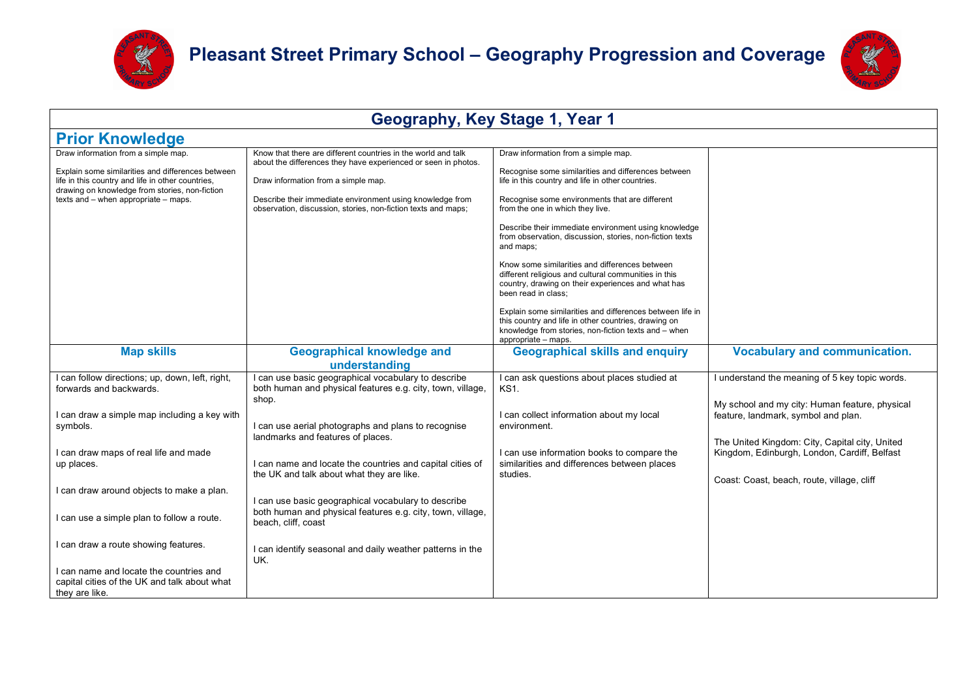



| Geography, Key Stage 1, Year 1                                                                                                                                                                                                          |                                                                                                                                                                                                                                                                                                                                  |                                                                                                                                                                                                                                                                                                                                                                                                                                                                                                                                                                                                                                                                                                                                                                   |                                                                                                                                                                                                                                                                                         |
|-----------------------------------------------------------------------------------------------------------------------------------------------------------------------------------------------------------------------------------------|----------------------------------------------------------------------------------------------------------------------------------------------------------------------------------------------------------------------------------------------------------------------------------------------------------------------------------|-------------------------------------------------------------------------------------------------------------------------------------------------------------------------------------------------------------------------------------------------------------------------------------------------------------------------------------------------------------------------------------------------------------------------------------------------------------------------------------------------------------------------------------------------------------------------------------------------------------------------------------------------------------------------------------------------------------------------------------------------------------------|-----------------------------------------------------------------------------------------------------------------------------------------------------------------------------------------------------------------------------------------------------------------------------------------|
| <b>Prior Knowledge</b>                                                                                                                                                                                                                  |                                                                                                                                                                                                                                                                                                                                  |                                                                                                                                                                                                                                                                                                                                                                                                                                                                                                                                                                                                                                                                                                                                                                   |                                                                                                                                                                                                                                                                                         |
| Draw information from a simple map.<br>Explain some similarities and differences between<br>life in this country and life in other countries,<br>drawing on knowledge from stories, non-fiction<br>texts and - when appropriate - maps. | Know that there are different countries in the world and talk<br>about the differences they have experienced or seen in photos.<br>Draw information from a simple map.<br>Describe their immediate environment using knowledge from<br>observation, discussion, stories, non-fiction texts and maps;                             | Draw information from a simple map.<br>Recognise some similarities and differences between<br>life in this country and life in other countries.<br>Recognise some environments that are different<br>from the one in which they live.<br>Describe their immediate environment using knowledge<br>from observation, discussion, stories, non-fiction texts<br>and maps;<br>Know some similarities and differences between<br>different religious and cultural communities in this<br>country, drawing on their experiences and what has<br>been read in class;<br>Explain some similarities and differences between life in<br>this country and life in other countries, drawing on<br>knowledge from stories, non-fiction texts and - when<br>appropriate - maps. |                                                                                                                                                                                                                                                                                         |
| <b>Map skills</b>                                                                                                                                                                                                                       | <b>Geographical knowledge and</b><br>understanding                                                                                                                                                                                                                                                                               | <b>Geographical skills and enquiry</b>                                                                                                                                                                                                                                                                                                                                                                                                                                                                                                                                                                                                                                                                                                                            | <b>Vocabulary and communication.</b>                                                                                                                                                                                                                                                    |
| I can follow directions; up, down, left, right,<br>forwards and backwards.<br>I can draw a simple map including a key with<br>symbols.<br>I can draw maps of real life and made<br>up places.                                           | I can use basic geographical vocabulary to describe<br>both human and physical features e.g. city, town, village,<br>shop.<br>I can use aerial photographs and plans to recognise<br>landmarks and features of places.<br>I can name and locate the countries and capital cities of<br>the UK and talk about what they are like. | I can ask questions about places studied at<br>KS1.<br>I can collect information about my local<br>environment.<br>I can use information books to compare the<br>similarities and differences between places<br>studies.                                                                                                                                                                                                                                                                                                                                                                                                                                                                                                                                          | I understand the meaning of 5 key topic words.<br>My school and my city: Human feature, physical<br>feature, landmark, symbol and plan.<br>The United Kingdom: City, Capital city, United<br>Kingdom, Edinburgh, London, Cardiff, Belfast<br>Coast: Coast, beach, route, village, cliff |
| I can draw around objects to make a plan.<br>I can use a simple plan to follow a route.<br>I can draw a route showing features.                                                                                                         | I can use basic geographical vocabulary to describe<br>both human and physical features e.g. city, town, village,<br>beach, cliff, coast<br>I can identify seasonal and daily weather patterns in the                                                                                                                            |                                                                                                                                                                                                                                                                                                                                                                                                                                                                                                                                                                                                                                                                                                                                                                   |                                                                                                                                                                                                                                                                                         |
| I can name and locate the countries and<br>capital cities of the UK and talk about what<br>they are like.                                                                                                                               | UK.                                                                                                                                                                                                                                                                                                                              |                                                                                                                                                                                                                                                                                                                                                                                                                                                                                                                                                                                                                                                                                                                                                                   |                                                                                                                                                                                                                                                                                         |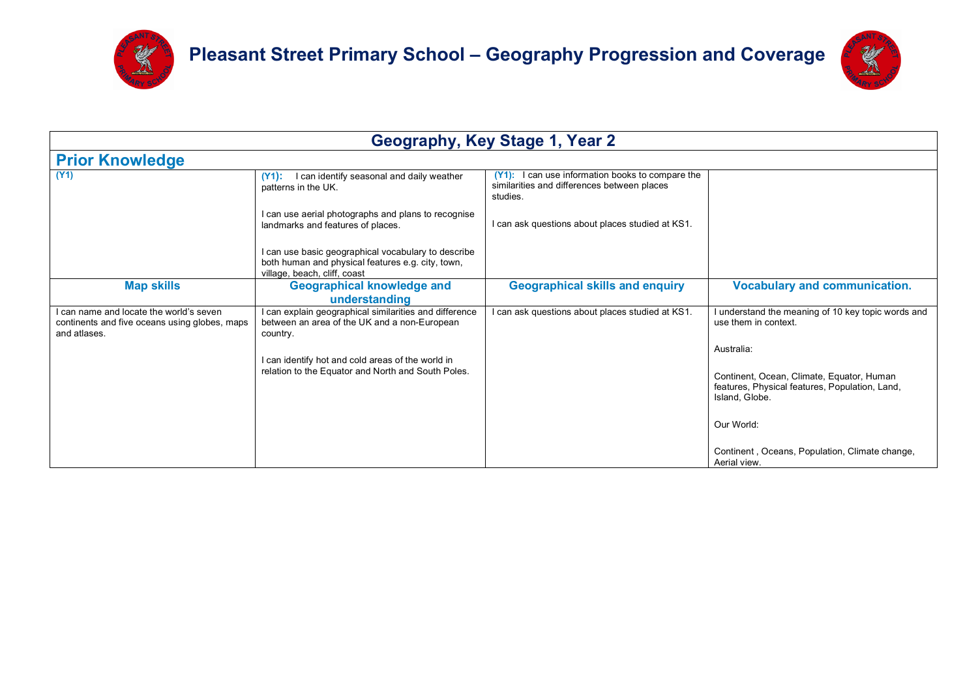



|                                                                                                        |                                                                                                                                          | Geography, Key Stage 1, Year 2                                                                                  |                                                                                                               |
|--------------------------------------------------------------------------------------------------------|------------------------------------------------------------------------------------------------------------------------------------------|-----------------------------------------------------------------------------------------------------------------|---------------------------------------------------------------------------------------------------------------|
| <b>Prior Knowledge</b>                                                                                 |                                                                                                                                          |                                                                                                                 |                                                                                                               |
| (Y1)                                                                                                   | I can identify seasonal and daily weather<br>$(Y1)$ :<br>patterns in the UK.                                                             | can use information books to compare the<br>$(Y1)$ :<br>similarities and differences between places<br>studies. |                                                                                                               |
|                                                                                                        | I can use aerial photographs and plans to recognise<br>landmarks and features of places.                                                 | I can ask questions about places studied at KS1.                                                                |                                                                                                               |
|                                                                                                        | I can use basic geographical vocabulary to describe<br>both human and physical features e.g. city, town,<br>village, beach, cliff, coast |                                                                                                                 |                                                                                                               |
| <b>Map skills</b>                                                                                      | <b>Geographical knowledge and</b><br>understanding                                                                                       | <b>Geographical skills and enquiry</b>                                                                          | <b>Vocabulary and communication.</b>                                                                          |
| can name and locate the world's seven<br>continents and five oceans using globes, maps<br>and atlases. | I can explain geographical similarities and difference<br>between an area of the UK and a non-European<br>country.                       | I can ask questions about places studied at KS1.                                                                | understand the meaning of 10 key topic words and<br>use them in context.                                      |
|                                                                                                        | I can identify hot and cold areas of the world in                                                                                        |                                                                                                                 | Australia:                                                                                                    |
|                                                                                                        | relation to the Equator and North and South Poles.                                                                                       |                                                                                                                 | Continent, Ocean, Climate, Equator, Human<br>features, Physical features, Population, Land,<br>Island, Globe. |
|                                                                                                        |                                                                                                                                          |                                                                                                                 | Our World:                                                                                                    |
|                                                                                                        |                                                                                                                                          |                                                                                                                 | Continent, Oceans, Population, Climate change,<br>Aerial view.                                                |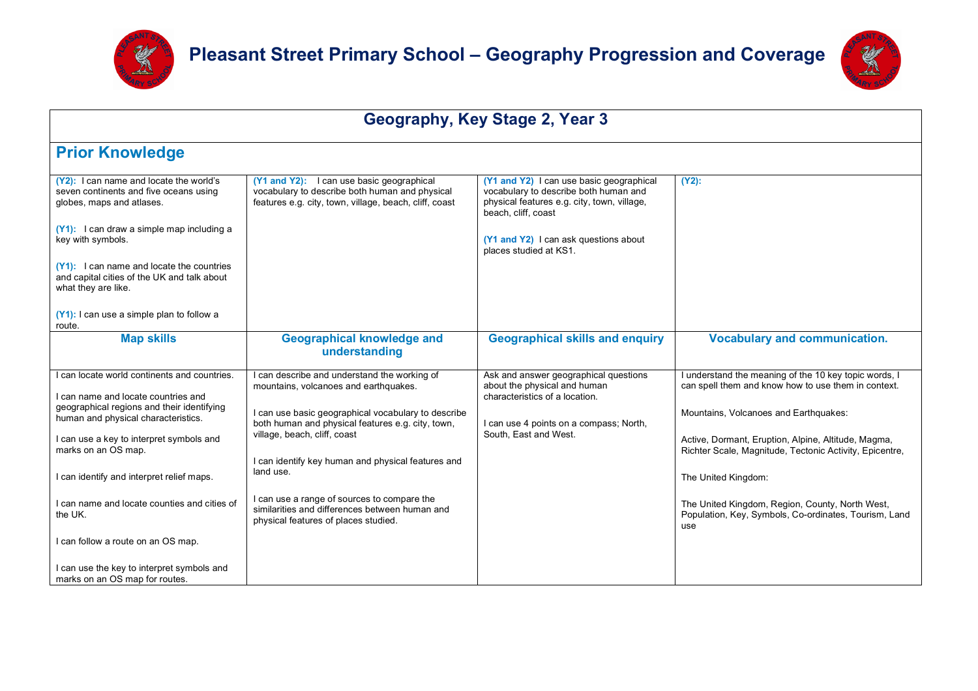



| Geography, Key Stage 2, Year 3                                                                                                                                                   |                                                                                                                                                       |                                                                                                                                                                                                                            |                                                                                                                |
|----------------------------------------------------------------------------------------------------------------------------------------------------------------------------------|-------------------------------------------------------------------------------------------------------------------------------------------------------|----------------------------------------------------------------------------------------------------------------------------------------------------------------------------------------------------------------------------|----------------------------------------------------------------------------------------------------------------|
| <b>Prior Knowledge</b>                                                                                                                                                           |                                                                                                                                                       |                                                                                                                                                                                                                            |                                                                                                                |
| (Y2): I can name and locate the world's<br>seven continents and five oceans using<br>globes, maps and atlases.<br>(Y1): I can draw a simple map including a<br>key with symbols. | (Y1 and Y2): I can use basic geographical<br>vocabulary to describe both human and physical<br>features e.g. city, town, village, beach, cliff, coast | (Y1 and Y2) I can use basic geographical<br>vocabulary to describe both human and<br>physical features e.g. city, town, village,<br>beach, cliff, coast<br>(Y1 and Y2) I can ask questions about<br>places studied at KS1. | $(Y2)$ :                                                                                                       |
| (Y1): I can name and locate the countries<br>and capital cities of the UK and talk about<br>what they are like.<br>(Y1): I can use a simple plan to follow a<br>route.           |                                                                                                                                                       |                                                                                                                                                                                                                            |                                                                                                                |
| <b>Map skills</b>                                                                                                                                                                | <b>Geographical knowledge and</b><br>understanding                                                                                                    | <b>Geographical skills and enquiry</b>                                                                                                                                                                                     | <b>Vocabulary and communication.</b>                                                                           |
| I can locate world continents and countries.<br>I can name and locate countries and                                                                                              | can describe and understand the working of<br>mountains, volcanoes and earthquakes.                                                                   | Ask and answer geographical questions<br>about the physical and human<br>characteristics of a location.                                                                                                                    | I understand the meaning of the 10 key topic words, I<br>can spell them and know how to use them in context.   |
| geographical regions and their identifying<br>human and physical characteristics.<br>I can use a key to interpret symbols and                                                    | I can use basic geographical vocabulary to describe<br>both human and physical features e.g. city, town,<br>village, beach, cliff, coast              | I can use 4 points on a compass; North,<br>South, East and West.                                                                                                                                                           | Mountains, Volcanoes and Earthquakes:                                                                          |
| marks on an OS map.                                                                                                                                                              | I can identify key human and physical features and<br>land use.                                                                                       |                                                                                                                                                                                                                            | Active, Dormant, Eruption, Alpine, Altitude, Magma,<br>Richter Scale, Magnitude, Tectonic Activity, Epicentre, |
| I can identify and interpret relief maps.<br>I can name and locate counties and cities of                                                                                        | I can use a range of sources to compare the<br>similarities and differences between human and                                                         |                                                                                                                                                                                                                            | The United Kingdom:<br>The United Kingdom, Region, County, North West,                                         |
| the UK.<br>I can follow a route on an OS map.                                                                                                                                    | physical features of places studied.                                                                                                                  |                                                                                                                                                                                                                            | Population, Key, Symbols, Co-ordinates, Tourism, Land<br>use                                                   |
| I can use the key to interpret symbols and<br>marks on an OS map for routes.                                                                                                     |                                                                                                                                                       |                                                                                                                                                                                                                            |                                                                                                                |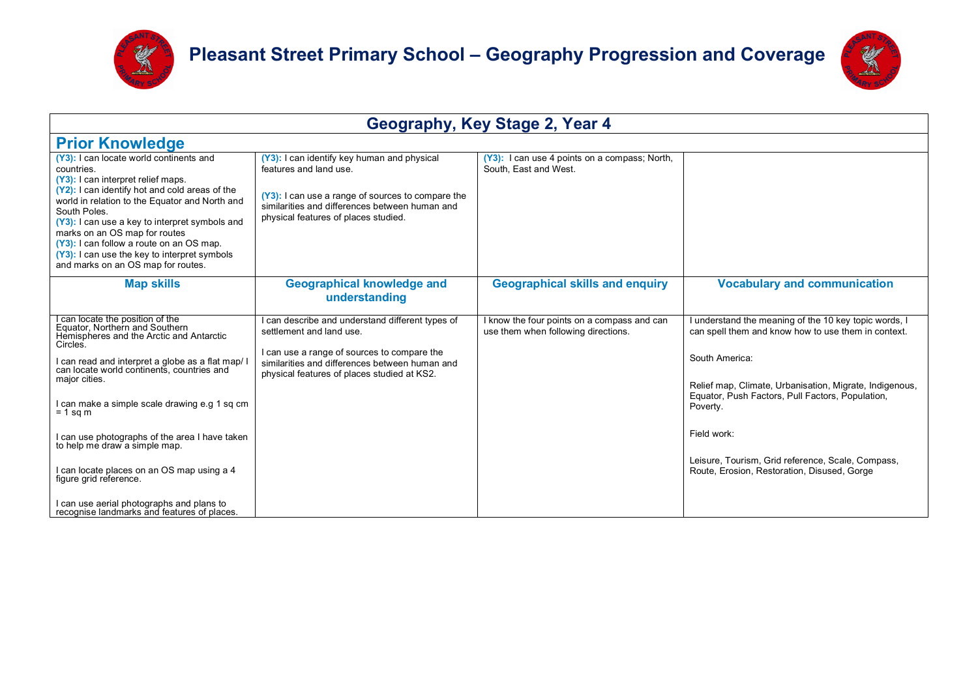



| Geography, Key Stage 2, Year 4                                                                                                                                                                                                                                                                                                                                                                                                       |                                                                                                                                                                                                                      |                                                                                  |                                                                                                                               |
|--------------------------------------------------------------------------------------------------------------------------------------------------------------------------------------------------------------------------------------------------------------------------------------------------------------------------------------------------------------------------------------------------------------------------------------|----------------------------------------------------------------------------------------------------------------------------------------------------------------------------------------------------------------------|----------------------------------------------------------------------------------|-------------------------------------------------------------------------------------------------------------------------------|
| <b>Prior Knowledge</b>                                                                                                                                                                                                                                                                                                                                                                                                               |                                                                                                                                                                                                                      |                                                                                  |                                                                                                                               |
| (Y3): I can locate world continents and<br>countries.<br>(Y3): I can interpret relief maps.<br>(Y2): I can identify hot and cold areas of the<br>world in relation to the Equator and North and<br>South Poles.<br>(Y3): I can use a key to interpret symbols and<br>marks on an OS map for routes<br>(Y3): I can follow a route on an OS map.<br>(Y3): I can use the key to interpret symbols<br>and marks on an OS map for routes. | (Y3): I can identify key human and physical<br>features and land use.<br>(Y3): I can use a range of sources to compare the<br>similarities and differences between human and<br>physical features of places studied. | (Y3): I can use 4 points on a compass; North,<br>South. East and West.           |                                                                                                                               |
| <b>Map skills</b>                                                                                                                                                                                                                                                                                                                                                                                                                    | <b>Geographical knowledge and</b><br>understanding                                                                                                                                                                   | <b>Geographical skills and enquiry</b>                                           | <b>Vocabulary and communication</b>                                                                                           |
| I can locate the position of the<br>Equator, Northern and Southern<br>Hemispheres and the Arctic and Antarctic<br>Circles.                                                                                                                                                                                                                                                                                                           | can describe and understand different types of<br>settlement and land use.<br>I can use a range of sources to compare the                                                                                            | know the four points on a compass and can<br>use them when following directions. | understand the meaning of the 10 key topic words, I<br>can spell them and know how to use them in context.                    |
| l can read and interpret a globe as a flat map/ l<br>can locate world continents, countries and<br>major cities.                                                                                                                                                                                                                                                                                                                     | similarities and differences between human and<br>physical features of places studied at KS2.                                                                                                                        |                                                                                  | South America:<br>Relief map, Climate, Urbanisation, Migrate, Indigenous,<br>Equator, Push Factors, Pull Factors, Population, |
| I can make a simple scale drawing e.g 1 sq cm<br>$= 1$ sq m                                                                                                                                                                                                                                                                                                                                                                          |                                                                                                                                                                                                                      |                                                                                  | Poverty.                                                                                                                      |
| I can use photographs of the area I have taken<br>to help me draw a simple map.                                                                                                                                                                                                                                                                                                                                                      |                                                                                                                                                                                                                      |                                                                                  | Field work:<br>Leisure, Tourism, Grid reference, Scale, Compass,                                                              |
| can locate places on an OS map using a 4<br>figure grid reference.                                                                                                                                                                                                                                                                                                                                                                   |                                                                                                                                                                                                                      |                                                                                  | Route, Erosion, Restoration, Disused, Gorge                                                                                   |
| I can use aerial photographs and plans to<br>recognise landmarks and features of places.                                                                                                                                                                                                                                                                                                                                             |                                                                                                                                                                                                                      |                                                                                  |                                                                                                                               |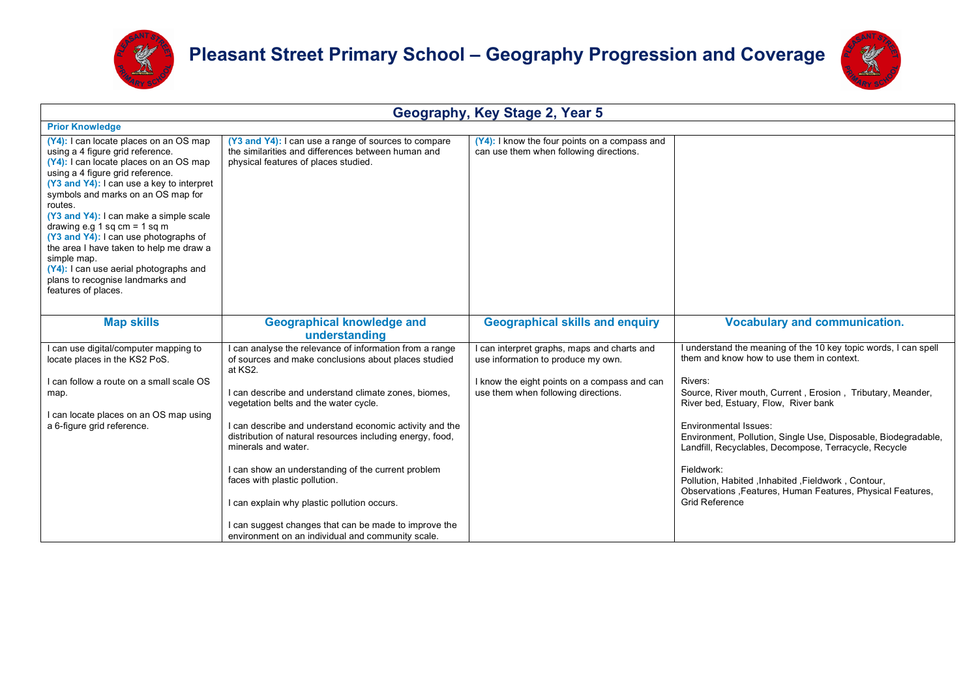



| Geography, Key Stage 2, Year 5                                                                                                                                                                                                                                                                                                                                                                                                                                                                                                             |                                                                                                                                                                                                                                                                                   |                                                                                                                                                                        |                                                                                                                                                                                                                                                                                                                       |
|--------------------------------------------------------------------------------------------------------------------------------------------------------------------------------------------------------------------------------------------------------------------------------------------------------------------------------------------------------------------------------------------------------------------------------------------------------------------------------------------------------------------------------------------|-----------------------------------------------------------------------------------------------------------------------------------------------------------------------------------------------------------------------------------------------------------------------------------|------------------------------------------------------------------------------------------------------------------------------------------------------------------------|-----------------------------------------------------------------------------------------------------------------------------------------------------------------------------------------------------------------------------------------------------------------------------------------------------------------------|
| <b>Prior Knowledge</b>                                                                                                                                                                                                                                                                                                                                                                                                                                                                                                                     |                                                                                                                                                                                                                                                                                   |                                                                                                                                                                        |                                                                                                                                                                                                                                                                                                                       |
| (Y4): I can locate places on an OS map<br>using a 4 figure grid reference.<br>(Y4): I can locate places on an OS map<br>using a 4 figure grid reference.<br>(Y3 and Y4): I can use a key to interpret<br>symbols and marks on an OS map for<br>routes.<br>(Y3 and Y4): I can make a simple scale<br>drawing e.g 1 sq cm = $1$ sq m<br>(Y3 and Y4): I can use photographs of<br>the area I have taken to help me draw a<br>simple map.<br>(Y4): I can use aerial photographs and<br>plans to recognise landmarks and<br>features of places. | (Y3 and Y4): I can use a range of sources to compare<br>the similarities and differences between human and<br>physical features of places studied.                                                                                                                                | (Y4): I know the four points on a compass and<br>can use them when following directions.                                                                               |                                                                                                                                                                                                                                                                                                                       |
| <b>Map skills</b>                                                                                                                                                                                                                                                                                                                                                                                                                                                                                                                          | <b>Geographical knowledge and</b><br>understanding                                                                                                                                                                                                                                | <b>Geographical skills and enquiry</b>                                                                                                                                 | <b>Vocabulary and communication.</b>                                                                                                                                                                                                                                                                                  |
| can use digital/computer mapping to<br>locate places in the KS2 PoS.<br>I can follow a route on a small scale OS<br>map.<br>I can locate places on an OS map using                                                                                                                                                                                                                                                                                                                                                                         | I can analyse the relevance of information from a range<br>of sources and make conclusions about places studied<br>at KS2.<br>I can describe and understand climate zones, biomes,<br>vegetation belts and the water cycle.                                                       | can interpret graphs, maps and charts and<br>use information to produce my own.<br>I know the eight points on a compass and can<br>use them when following directions. | I understand the meaning of the 10 key topic words, I can spell<br>them and know how to use them in context.<br>Rivers:<br>Source, River mouth, Current, Erosion, Tributary, Meander,<br>River bed, Estuary, Flow, River bank                                                                                         |
| a 6-figure grid reference.                                                                                                                                                                                                                                                                                                                                                                                                                                                                                                                 | I can describe and understand economic activity and the<br>distribution of natural resources including energy, food,<br>minerals and water.<br>I can show an understanding of the current problem<br>faces with plastic pollution.<br>I can explain why plastic pollution occurs. |                                                                                                                                                                        | <b>Environmental Issues:</b><br>Environment, Pollution, Single Use, Disposable, Biodegradable,<br>Landfill, Recyclables, Decompose, Terracycle, Recycle<br>Fieldwork:<br>Pollution, Habited , Inhabited , Fieldwork, Contour,<br>Observations , Features, Human Features, Physical Features,<br><b>Grid Reference</b> |
|                                                                                                                                                                                                                                                                                                                                                                                                                                                                                                                                            | I can suggest changes that can be made to improve the<br>environment on an individual and community scale.                                                                                                                                                                        |                                                                                                                                                                        |                                                                                                                                                                                                                                                                                                                       |